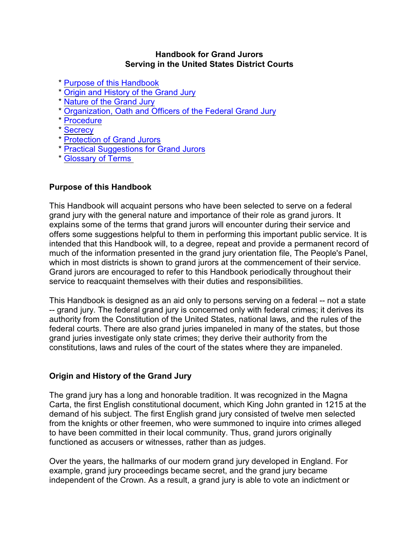## **Handbook for Grand Jurors Serving in the United States District Courts**

- \* [Purpose of this Handbook](#page-0-0)
- \* [Origin and History of the Grand Jury](#page-0-1)
- \* [Nature of the Grand Jury](#page-1-0)
- \* [Organization, Oath and Officers of the Federal Grand Jury](#page-3-0)
- \* [Procedure](#page-4-0)
- \* [Secrecy](#page-6-0)
- \* [Protection of Grand Jurors](#page-7-0)
- \* [Practical Suggestions for Grand Jurors](#page-7-1)
- \* [Glossary of Terms](#page-8-0)

## <span id="page-0-0"></span>**Purpose of this Handbook**

This Handbook will acquaint persons who have been selected to serve on a federal grand jury with the general nature and importance of their role as grand jurors. It explains some of the terms that grand jurors will encounter during their service and offers some suggestions helpful to them in performing this important public service. It is intended that this Handbook will, to a degree, repeat and provide a permanent record of much of the information presented in the grand jury orientation file, The People's Panel, which in most districts is shown to grand jurors at the commencement of their service. Grand jurors are encouraged to refer to this Handbook periodically throughout their service to reacquaint themselves with their duties and responsibilities.

This Handbook is designed as an aid only to persons serving on a federal -- not a state -- grand jury. The federal grand jury is concerned only with federal crimes; it derives its authority from the Constitution of the United States, national laws, and the rules of the federal courts. There are also grand juries impaneled in many of the states, but those grand juries investigate only state crimes; they derive their authority from the constitutions, laws and rules of the court of the states where they are impaneled.

## <span id="page-0-1"></span>**Origin and History of the Grand Jury**

The grand jury has a long and honorable tradition. It was recognized in the Magna Carta, the first English constitutional document, which King John granted in 1215 at the demand of his subject. The first English grand jury consisted of twelve men selected from the knights or other freemen, who were summoned to inquire into crimes alleged to have been committed in their local community. Thus, grand jurors originally functioned as accusers or witnesses, rather than as judges.

Over the years, the hallmarks of our modern grand jury developed in England. For example, grand jury proceedings became secret, and the grand jury became independent of the Crown. As a result, a grand jury is able to vote an indictment or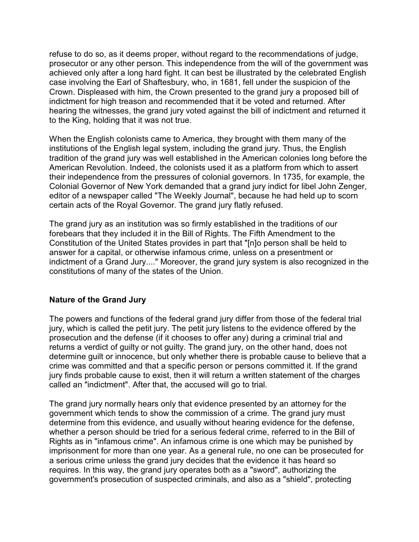refuse to do so, as it deems proper, without regard to the recommendations of judge, prosecutor or any other person. This independence from the will of the government was achieved only after a long hard fight. It can best be illustrated by the celebrated English case involving the Earl of Shaftesbury, who, in 1681, fell under the suspicion of the Crown. Displeased with him, the Crown presented to the grand jury a proposed bill of indictment for high treason and recommended that it be voted and returned. After hearing the witnesses, the grand jury voted against the bill of indictment and returned it to the King, holding that it was not true.

When the English colonists came to America, they brought with them many of the institutions of the English legal system, including the grand jury. Thus, the English tradition of the grand jury was well established in the American colonies long before the American Revolution. Indeed, the colonists used it as a platform from which to assert their independence from the pressures of colonial governors. In 1735, for example, the Colonial Governor of New York demanded that a grand jury indict for libel John Zenger, editor of a newspaper called "The Weekly Journal", because he had held up to scorn certain acts of the Royal Governor. The grand jury flatly refused.

The grand jury as an institution was so firmly established in the traditions of our forebears that they included it in the Bill of Rights. The Fifth Amendment to the Constitution of the United States provides in part that "[n]o person shall be held to answer for a capital, or otherwise infamous crime, unless on a presentment or indictment of a Grand Jury...." Moreover, the grand jury system is also recognized in the constitutions of many of the states of the Union.

## <span id="page-1-0"></span>**Nature of the Grand Jury**

The powers and functions of the federal grand jury differ from those of the federal trial jury, which is called the petit jury. The petit jury listens to the evidence offered by the prosecution and the defense (if it chooses to offer any) during a criminal trial and returns a verdict of guilty or not guilty. The grand jury, on the other hand, does not determine guilt or innocence, but only whether there is probable cause to believe that a crime was committed and that a specific person or persons committed it. If the grand jury finds probable cause to exist, then it will return a written statement of the charges called an "indictment". After that, the accused will go to trial.

The grand jury normally hears only that evidence presented by an attorney for the government which tends to show the commission of a crime. The grand jury must determine from this evidence, and usually without hearing evidence for the defense, whether a person should be tried for a serious federal crime, referred to in the Bill of Rights as in "infamous crime". An infamous crime is one which may be punished by imprisonment for more than one year. As a general rule, no one can be prosecuted for a serious crime unless the grand jury decides that the evidence it has heard so requires. In this way, the grand jury operates both as a "sword", authorizing the government's prosecution of suspected criminals, and also as a "shield", protecting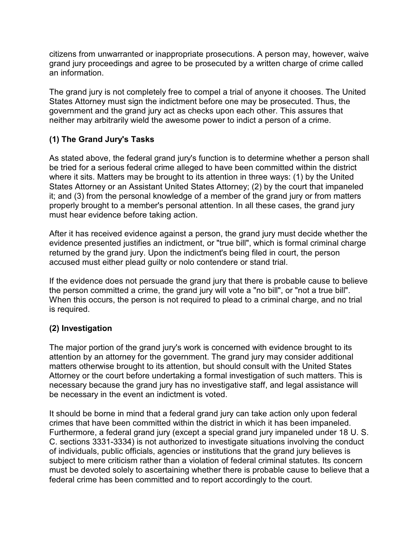citizens from unwarranted or inappropriate prosecutions. A person may, however, waive grand jury proceedings and agree to be prosecuted by a written charge of crime called an information.

The grand jury is not completely free to compel a trial of anyone it chooses. The United States Attorney must sign the indictment before one may be prosecuted. Thus, the government and the grand jury act as checks upon each other. This assures that neither may arbitrarily wield the awesome power to indict a person of a crime.

# **(1) The Grand Jury's Tasks**

As stated above, the federal grand jury's function is to determine whether a person shall be tried for a serious federal crime alleged to have been committed within the district where it sits. Matters may be brought to its attention in three ways: (1) by the United States Attorney or an Assistant United States Attorney; (2) by the court that impaneled it; and (3) from the personal knowledge of a member of the grand jury or from matters properly brought to a member's personal attention. In all these cases, the grand jury must hear evidence before taking action.

After it has received evidence against a person, the grand jury must decide whether the evidence presented justifies an indictment, or "true bill", which is formal criminal charge returned by the grand jury. Upon the indictment's being filed in court, the person accused must either plead guilty or nolo contendere or stand trial.

If the evidence does not persuade the grand jury that there is probable cause to believe the person committed a crime, the grand jury will vote a "no bill", or "not a true bill". When this occurs, the person is not required to plead to a criminal charge, and no trial is required.

## **(2) Investigation**

The major portion of the grand jury's work is concerned with evidence brought to its attention by an attorney for the government. The grand jury may consider additional matters otherwise brought to its attention, but should consult with the United States Attorney or the court before undertaking a formal investigation of such matters. This is necessary because the grand jury has no investigative staff, and legal assistance will be necessary in the event an indictment is voted.

It should be borne in mind that a federal grand jury can take action only upon federal crimes that have been committed within the district in which it has been impaneled. Furthermore, a federal grand jury (except a special grand jury impaneled under 18 U. S. C. sections 3331-3334) is not authorized to investigate situations involving the conduct of individuals, public officials, agencies or institutions that the grand jury believes is subject to mere criticism rather than a violation of federal criminal statutes. Its concern must be devoted solely to ascertaining whether there is probable cause to believe that a federal crime has been committed and to report accordingly to the court.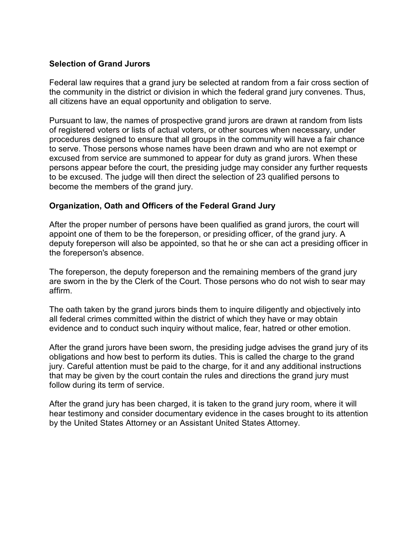### **Selection of Grand Jurors**

Federal law requires that a grand jury be selected at random from a fair cross section of the community in the district or division in which the federal grand jury convenes. Thus, all citizens have an equal opportunity and obligation to serve.

Pursuant to law, the names of prospective grand jurors are drawn at random from lists of registered voters or lists of actual voters, or other sources when necessary, under procedures designed to ensure that all groups in the community will have a fair chance to serve. Those persons whose names have been drawn and who are not exempt or excused from service are summoned to appear for duty as grand jurors. When these persons appear before the court, the presiding judge may consider any further requests to be excused. The judge will then direct the selection of 23 qualified persons to become the members of the grand jury.

## <span id="page-3-0"></span>**Organization, Oath and Officers of the Federal Grand Jury**

After the proper number of persons have been qualified as grand jurors, the court will appoint one of them to be the foreperson, or presiding officer, of the grand jury. A deputy foreperson will also be appointed, so that he or she can act a presiding officer in the foreperson's absence.

The foreperson, the deputy foreperson and the remaining members of the grand jury are sworn in the by the Clerk of the Court. Those persons who do not wish to sear may affirm.

The oath taken by the grand jurors binds them to inquire diligently and objectively into all federal crimes committed within the district of which they have or may obtain evidence and to conduct such inquiry without malice, fear, hatred or other emotion.

After the grand jurors have been sworn, the presiding judge advises the grand jury of its obligations and how best to perform its duties. This is called the charge to the grand jury. Careful attention must be paid to the charge, for it and any additional instructions that may be given by the court contain the rules and directions the grand jury must follow during its term of service.

After the grand jury has been charged, it is taken to the grand jury room, where it will hear testimony and consider documentary evidence in the cases brought to its attention by the United States Attorney or an Assistant United States Attorney.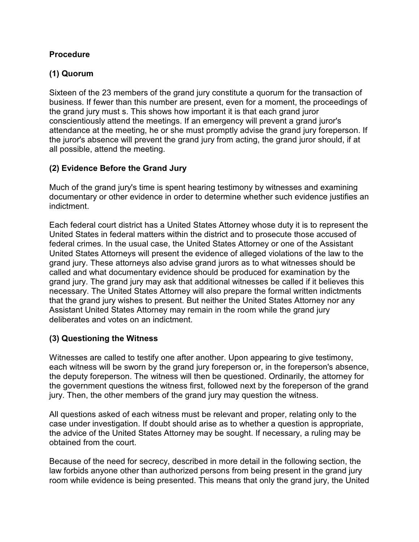## <span id="page-4-0"></span>**Procedure**

## **(1) Quorum**

Sixteen of the 23 members of the grand jury constitute a quorum for the transaction of business. If fewer than this number are present, even for a moment, the proceedings of the grand jury must s. This shows how important it is that each grand juror conscientiously attend the meetings. If an emergency will prevent a grand juror's attendance at the meeting, he or she must promptly advise the grand jury foreperson. If the juror's absence will prevent the grand jury from acting, the grand juror should, if at all possible, attend the meeting.

## **(2) Evidence Before the Grand Jury**

Much of the grand jury's time is spent hearing testimony by witnesses and examining documentary or other evidence in order to determine whether such evidence justifies an indictment.

Each federal court district has a United States Attorney whose duty it is to represent the United States in federal matters within the district and to prosecute those accused of federal crimes. In the usual case, the United States Attorney or one of the Assistant United States Attorneys will present the evidence of alleged violations of the law to the grand jury. These attorneys also advise grand jurors as to what witnesses should be called and what documentary evidence should be produced for examination by the grand jury. The grand jury may ask that additional witnesses be called if it believes this necessary. The United States Attorney will also prepare the formal written indictments that the grand jury wishes to present. But neither the United States Attorney nor any Assistant United States Attorney may remain in the room while the grand jury deliberates and votes on an indictment.

## **(3) Questioning the Witness**

Witnesses are called to testify one after another. Upon appearing to give testimony, each witness will be sworn by the grand jury foreperson or, in the foreperson's absence, the deputy foreperson. The witness will then be questioned. Ordinarily, the attorney for the government questions the witness first, followed next by the foreperson of the grand jury. Then, the other members of the grand jury may question the witness.

All questions asked of each witness must be relevant and proper, relating only to the case under investigation. If doubt should arise as to whether a question is appropriate, the advice of the United States Attorney may be sought. If necessary, a ruling may be obtained from the court.

Because of the need for secrecy, described in more detail in the following section, the law forbids anyone other than authorized persons from being present in the grand jury room while evidence is being presented. This means that only the grand jury, the United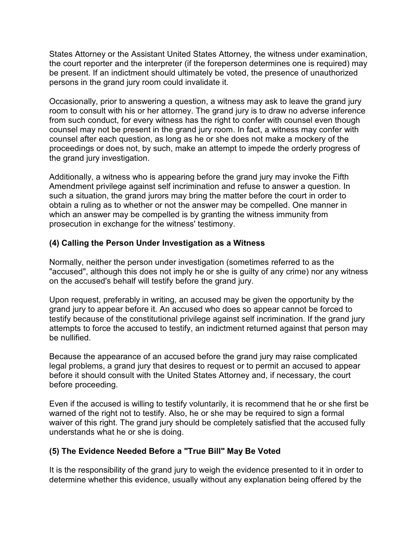States Attorney or the Assistant United States Attorney, the witness under examination, the court reporter and the interpreter (if the foreperson determines one is required) may be present. If an indictment should ultimately be voted, the presence of unauthorized persons in the grand jury room could invalidate it.

Occasionally, prior to answering a question, a witness may ask to leave the grand jury room to consult with his or her attorney. The grand jury is to draw no adverse inference from such conduct, for every witness has the right to confer with counsel even though counsel may not be present in the grand jury room. In fact, a witness may confer with counsel after each question, as long as he or she does not make a mockery of the proceedings or does not, by such, make an attempt to impede the orderly progress of the grand jury investigation.

Additionally, a witness who is appearing before the grand jury may invoke the Fifth Amendment privilege against self incrimination and refuse to answer a question. In such a situation, the grand jurors may bring the matter before the court in order to obtain a ruling as to whether or not the answer may be compelled. One manner in which an answer may be compelled is by granting the witness immunity from prosecution in exchange for the witness' testimony.

## **(4) Calling the Person Under Investigation as a Witness**

Normally, neither the person under investigation (sometimes referred to as the "accused", although this does not imply he or she is guilty of any crime) nor any witness on the accused's behalf will testify before the grand jury.

Upon request, preferably in writing, an accused may be given the opportunity by the grand jury to appear before it. An accused who does so appear cannot be forced to testify because of the constitutional privilege against self incrimination. If the grand jury attempts to force the accused to testify, an indictment returned against that person may be nullified.

Because the appearance of an accused before the grand jury may raise complicated legal problems, a grand jury that desires to request or to permit an accused to appear before it should consult with the United States Attorney and, if necessary, the court before proceeding.

Even if the accused is willing to testify voluntarily, it is recommend that he or she first be warned of the right not to testify. Also, he or she may be required to sign a formal waiver of this right. The grand jury should be completely satisfied that the accused fully understands what he or she is doing.

## **(5) The Evidence Needed Before a "True Bill" May Be Voted**

It is the responsibility of the grand jury to weigh the evidence presented to it in order to determine whether this evidence, usually without any explanation being offered by the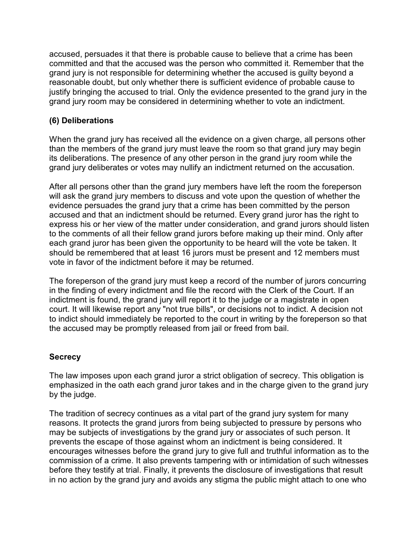accused, persuades it that there is probable cause to believe that a crime has been committed and that the accused was the person who committed it. Remember that the grand jury is not responsible for determining whether the accused is guilty beyond a reasonable doubt, but only whether there is sufficient evidence of probable cause to justify bringing the accused to trial. Only the evidence presented to the grand jury in the grand jury room may be considered in determining whether to vote an indictment.

## **(6) Deliberations**

When the grand jury has received all the evidence on a given charge, all persons other than the members of the grand jury must leave the room so that grand jury may begin its deliberations. The presence of any other person in the grand jury room while the grand jury deliberates or votes may nullify an indictment returned on the accusation.

After all persons other than the grand jury members have left the room the foreperson will ask the grand jury members to discuss and vote upon the question of whether the evidence persuades the grand jury that a crime has been committed by the person accused and that an indictment should be returned. Every grand juror has the right to express his or her view of the matter under consideration, and grand jurors should listen to the comments of all their fellow grand jurors before making up their mind. Only after each grand juror has been given the opportunity to be heard will the vote be taken. It should be remembered that at least 16 jurors must be present and 12 members must vote in favor of the indictment before it may be returned.

The foreperson of the grand jury must keep a record of the number of jurors concurring in the finding of every indictment and file the record with the Clerk of the Court. If an indictment is found, the grand jury will report it to the judge or a magistrate in open court. It will likewise report any "not true bills", or decisions not to indict. A decision not to indict should immediately be reported to the court in writing by the foreperson so that the accused may be promptly released from jail or freed from bail.

## <span id="page-6-0"></span>**Secrecy**

The law imposes upon each grand juror a strict obligation of secrecy. This obligation is emphasized in the oath each grand juror takes and in the charge given to the grand jury by the judge.

The tradition of secrecy continues as a vital part of the grand jury system for many reasons. It protects the grand jurors from being subjected to pressure by persons who may be subjects of investigations by the grand jury or associates of such person. It prevents the escape of those against whom an indictment is being considered. It encourages witnesses before the grand jury to give full and truthful information as to the commission of a crime. It also prevents tampering with or intimidation of such witnesses before they testify at trial. Finally, it prevents the disclosure of investigations that result in no action by the grand jury and avoids any stigma the public might attach to one who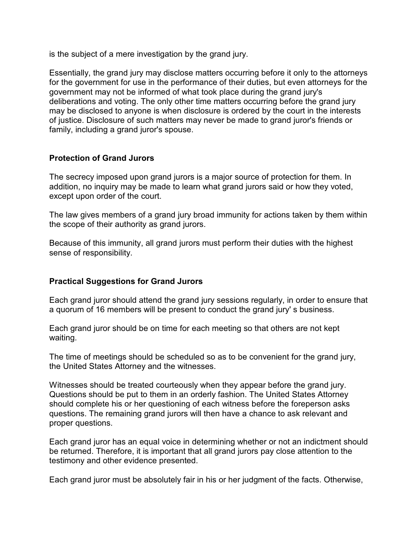is the subject of a mere investigation by the grand jury.

Essentially, the grand jury may disclose matters occurring before it only to the attorneys for the government for use in the performance of their duties, but even attorneys for the government may not be informed of what took place during the grand jury's deliberations and voting. The only other time matters occurring before the grand jury may be disclosed to anyone is when disclosure is ordered by the court in the interests of justice. Disclosure of such matters may never be made to grand juror's friends or family, including a grand juror's spouse.

## <span id="page-7-0"></span>**Protection of Grand Jurors**

The secrecy imposed upon grand jurors is a major source of protection for them. In addition, no inquiry may be made to learn what grand jurors said or how they voted, except upon order of the court.

The law gives members of a grand jury broad immunity for actions taken by them within the scope of their authority as grand jurors.

Because of this immunity, all grand jurors must perform their duties with the highest sense of responsibility.

## <span id="page-7-1"></span>**Practical Suggestions for Grand Jurors**

Each grand juror should attend the grand jury sessions regularly, in order to ensure that a quorum of 16 members will be present to conduct the grand jury' s business.

Each grand juror should be on time for each meeting so that others are not kept waiting.

The time of meetings should be scheduled so as to be convenient for the grand jury, the United States Attorney and the witnesses.

Witnesses should be treated courteously when they appear before the grand jury. Questions should be put to them in an orderly fashion. The United States Attorney should complete his or her questioning of each witness before the foreperson asks questions. The remaining grand jurors will then have a chance to ask relevant and proper questions.

Each grand juror has an equal voice in determining whether or not an indictment should be returned. Therefore, it is important that all grand jurors pay close attention to the testimony and other evidence presented.

Each grand juror must be absolutely fair in his or her judgment of the facts. Otherwise,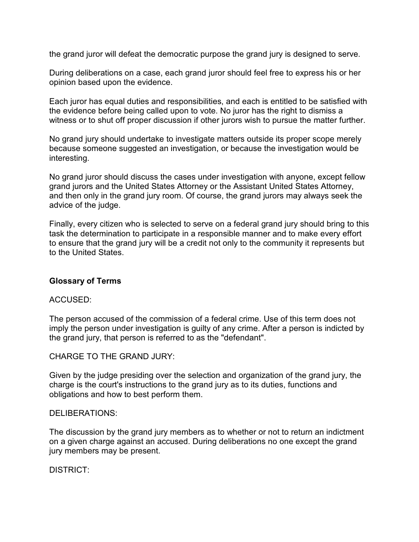the grand juror will defeat the democratic purpose the grand jury is designed to serve.

During deliberations on a case, each grand juror should feel free to express his or her opinion based upon the evidence.

Each juror has equal duties and responsibilities, and each is entitled to be satisfied with the evidence before being called upon to vote. No juror has the right to dismiss a witness or to shut off proper discussion if other jurors wish to pursue the matter further.

No grand jury should undertake to investigate matters outside its proper scope merely because someone suggested an investigation, or because the investigation would be interesting.

No grand juror should discuss the cases under investigation with anyone, except fellow grand jurors and the United States Attorney or the Assistant United States Attorney, and then only in the grand jury room. Of course, the grand jurors may always seek the advice of the judge.

Finally, every citizen who is selected to serve on a federal grand jury should bring to this task the determination to participate in a responsible manner and to make every effort to ensure that the grand jury will be a credit not only to the community it represents but to the United States.

## <span id="page-8-0"></span>**Glossary of Terms**

#### ACCUSED:

The person accused of the commission of a federal crime. Use of this term does not imply the person under investigation is guilty of any crime. After a person is indicted by the grand jury, that person is referred to as the "defendant".

CHARGE TO THE GRAND JURY:

Given by the judge presiding over the selection and organization of the grand jury, the charge is the court's instructions to the grand jury as to its duties, functions and obligations and how to best perform them.

#### DELIBERATIONS:

The discussion by the grand jury members as to whether or not to return an indictment on a given charge against an accused. During deliberations no one except the grand jury members may be present.

DISTRICT: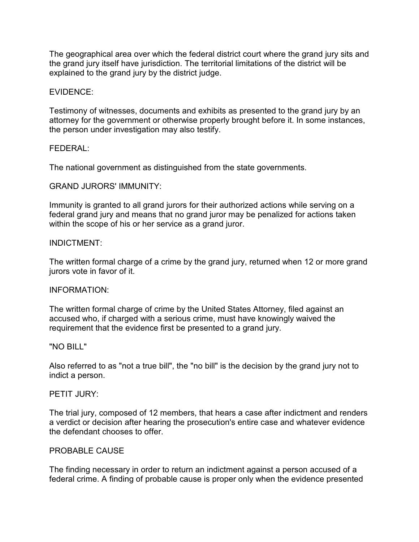The geographical area over which the federal district court where the grand jury sits and the grand jury itself have jurisdiction. The territorial limitations of the district will be explained to the grand jury by the district judge.

#### EVIDENCE:

Testimony of witnesses, documents and exhibits as presented to the grand jury by an attorney for the government or otherwise properly brought before it. In some instances, the person under investigation may also testify.

#### FEDERAL:

The national government as distinguished from the state governments.

#### GRAND JURORS' IMMUNITY:

Immunity is granted to all grand jurors for their authorized actions while serving on a federal grand jury and means that no grand juror may be penalized for actions taken within the scope of his or her service as a grand juror.

#### INDICTMENT:

The written formal charge of a crime by the grand jury, returned when 12 or more grand jurors vote in favor of it.

#### INFORMATION:

The written formal charge of crime by the United States Attorney, filed against an accused who, if charged with a serious crime, must have knowingly waived the requirement that the evidence first be presented to a grand jury.

#### "NO BILL"

Also referred to as "not a true bill", the "no bill" is the decision by the grand jury not to indict a person.

#### PETIT JURY:

The trial jury, composed of 12 members, that hears a case after indictment and renders a verdict or decision after hearing the prosecution's entire case and whatever evidence the defendant chooses to offer.

#### PROBABLE CAUSE

The finding necessary in order to return an indictment against a person accused of a federal crime. A finding of probable cause is proper only when the evidence presented